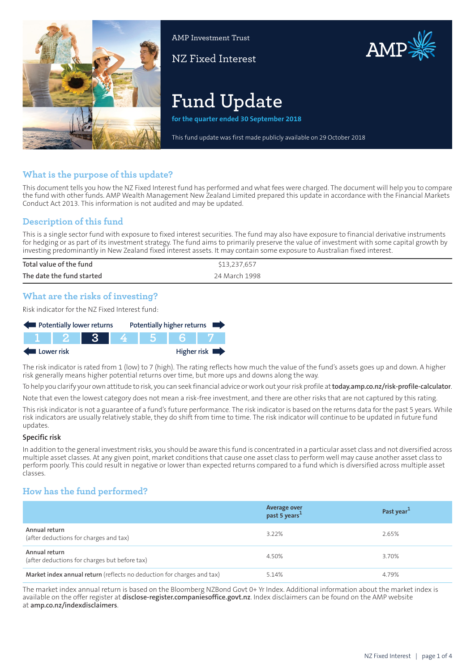

AMP Investment Trust

NZ Fixed Interest

# AMP

# **Fund Update**

**for the quarter ended 30 September 2018**

This fund update was first made publicly available on 29 October 2018

# **What is the purpose of this update?**

This document tells you how the NZ Fixed Interest fund has performed and what fees were charged. The document will help you to compare the fund with other funds. AMP Wealth Management New Zealand Limited prepared this update in accordance with the Financial Markets Conduct Act 2013. This information is not audited and may be updated.

# **Description of this fund**

This is a single sector fund with exposure to fixed interest securities. The fund may also have exposure to financial derivative instruments for hedging or as part of its investment strategy. The fund aims to primarily preserve the value of investment with some capital growth by investing predominantly in New Zealand fixed interest assets. It may contain some exposure to Australian fixed interest.

| Total value of the fund   | \$13,237,657  |
|---------------------------|---------------|
| The date the fund started | 24 March 1998 |

# **What are the risks of investing?**

Risk indicator for the NZ Fixed Interest fund:



The risk indicator is rated from 1 (low) to 7 (high). The rating reflects how much the value of the fund's assets goes up and down. A higher risk generally means higher potential returns over time, but more ups and downs along the way.

To help you clarify your own attitude to risk, you can seek financial advice orwork out yourrisk profile at**[today.amp.co.nz/risk-profile-calculator](http://today.amp.co.nz/risk-profile-calculator)**.

Note that even the lowest category does not mean a risk-free investment, and there are other risks that are not captured by this rating.

This risk indicator is not a guarantee of a fund's future performance. The risk indicator is based on the returns data for the past 5 years. While risk indicators are usually relatively stable, they do shift from time to time. The risk indicator will continue to be updated in future fund updates.

#### **Specific risk**

In addition to the general investmentrisks, you should be aware this fund is concentrated in a particular asset class and not diversified across multiple asset classes. At any given point, market conditions that cause one asset class to perform well may cause another asset class to perform poorly. This could result in negative or lower than expected returns compared to a fund which is diversified across multiple asset classes.

# **How has the fund performed?**

|                                                                        | <b>Average over</b><br>past 5 years <sup>1</sup> | Past year <sup>1</sup> |
|------------------------------------------------------------------------|--------------------------------------------------|------------------------|
| Annual return<br>(after deductions for charges and tax)                | 3.22%                                            | 2.65%                  |
| Annual return<br>(after deductions for charges but before tax)         | 4.50%                                            | 3.70%                  |
| Market index annual return (reflects no deduction for charges and tax) | 5.14%                                            | 4.79%                  |

The market index annual return is based on the Bloomberg NZBond Govt 0+ Yr Index. Additional information about the market index is available on the offer register at **[disclose-register.companiesoffice.govt.nz](https://disclose-register.companiesoffice.govt.nz/)**. Index disclaimers can be found on the AMP website at **[amp.co.nz/indexdisclaimers](http://amp.co.nz/indexdisclaimers)**.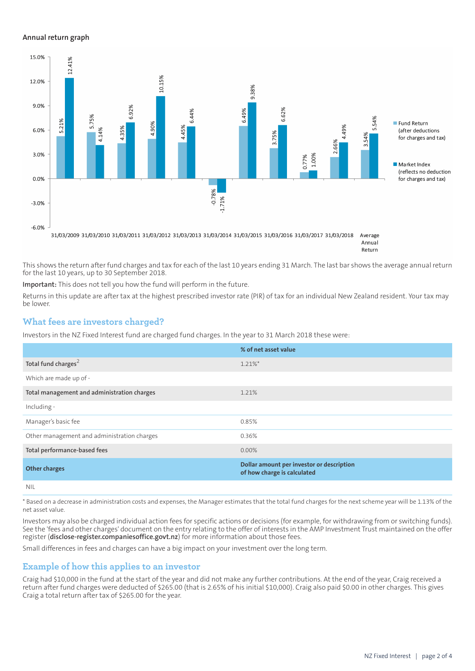#### **Annual return graph**



Annual Return

This shows the return after fund charges and tax for each of the last 10 years ending 31 March. The last bar shows the average annual return for the last 10 years, up to 30 September 2018.

**Important:** This does not tell you how the fund will perform in the future.

Returns in this update are after tax at the highest prescribed investor rate (PIR) of tax for an individual New Zealand resident. Your tax may be lower.

#### **What fees are investors charged?**

Investors in the NZ Fixed Interest fund are charged fund charges. In the year to 31 March 2018 these were:

|                                             | % of net asset value                                                     |
|---------------------------------------------|--------------------------------------------------------------------------|
| Total fund charges <sup>2</sup>             | $1.21\%$ *                                                               |
| Which are made up of -                      |                                                                          |
| Total management and administration charges | 1.21%                                                                    |
| Including -                                 |                                                                          |
| Manager's basic fee                         | 0.85%                                                                    |
| Other management and administration charges | 0.36%                                                                    |
| Total performance-based fees                | $0.00\%$                                                                 |
| <b>Other charges</b>                        | Dollar amount per investor or description<br>of how charge is calculated |
| <b>NIL</b>                                  |                                                                          |

\* Based on a decrease in administration costs and expenses, the Manager estimates that the total fund charges for the next scheme year will be 1.13% of the net asset value.

Investors may also be charged individual action fees for specific actions or decisions (for example, for withdrawing from or switching funds). See the 'fees and other charges' document on the entry relating to the offer of interests in the AMP Investment Trust maintained on the offer register (**[disclose-register.companiesoffice.govt.nz](https://disclose-register.companiesoffice.govt.nz/)**) for more information about those fees.

Small differences in fees and charges can have a big impact on your investment over the long term.

#### **Example of how this applies to an investor**

Craig had \$10,000 in the fund at the start of the year and did not make any further contributions. At the end of the year, Craig received a return after fund charges were deducted of \$265.00 (that is 2.65% of his initial \$10,000). Craig also paid \$0.00 in other charges. This gives Craig a total return after tax of \$265.00 for the year.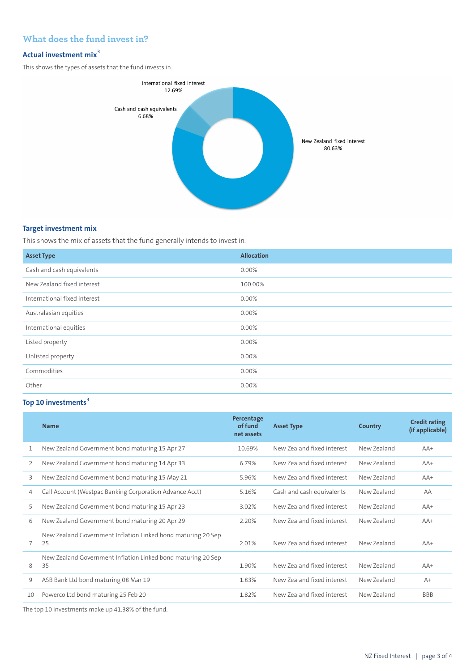# **What does the fund invest in?**

# **Actual investment mix<sup>3</sup>**

This shows the types of assets that the fund invests in.



#### **Target investment mix**

This shows the mix of assets that the fund generally intends to invest in.

| <b>Asset Type</b>            | <b>Allocation</b> |
|------------------------------|-------------------|
| Cash and cash equivalents    | $0.00\%$          |
| New Zealand fixed interest   | 100.00%           |
| International fixed interest | 0.00%             |
| Australasian equities        | 0.00%             |
| International equities       | 0.00%             |
| Listed property              | 0.00%             |
| Unlisted property            | 0.00%             |
| Commodities                  | 0.00%             |
| Other                        | 0.00%             |

# **Top 10 investments<sup>3</sup>**

|    | <b>Name</b>                                                        | Percentage<br>of fund<br>net assets | <b>Asset Type</b>          | <b>Country</b> | <b>Credit rating</b><br>(if applicable) |
|----|--------------------------------------------------------------------|-------------------------------------|----------------------------|----------------|-----------------------------------------|
| 1. | New Zealand Government bond maturing 15 Apr 27                     | 10.69%                              | New Zealand fixed interest | New Zealand    | $AA+$                                   |
| 2  | New Zealand Government bond maturing 14 Apr 33                     | 6.79%                               | New Zealand fixed interest | New Zealand    | $AA+$                                   |
| 3  | New Zealand Government bond maturing 15 May 21                     | 5.96%                               | New Zealand fixed interest | New Zealand    | $AA+$                                   |
| 4  | Call Account (Westpac Banking Corporation Advance Acct)            | 5.16%                               | Cash and cash equivalents  | New Zealand    | AA                                      |
| 5  | New Zealand Government bond maturing 15 Apr 23                     | 3.02%                               | New Zealand fixed interest | New Zealand    | $AA+$                                   |
| 6  | New Zealand Government bond maturing 20 Apr 29                     | 2.20%                               | New Zealand fixed interest | New Zealand    | $AA+$                                   |
| 7  | New Zealand Government Inflation Linked bond maturing 20 Sep<br>25 | 2.01%                               | New Zealand fixed interest | New Zealand    | $AA+$                                   |
| 8  | New Zealand Government Inflation Linked bond maturing 20 Sep<br>35 | 1.90%                               | New Zealand fixed interest | New Zealand    | $AA+$                                   |
| 9  | ASB Bank Ltd bond maturing 08 Mar 19                               | 1.83%                               | New Zealand fixed interest | New 7ealand    | $A+$                                    |
| 10 | Powerco Ltd bond maturing 25 Feb 20                                | 1.82%                               | New Zealand fixed interest | New Zealand    | <b>BBB</b>                              |
|    |                                                                    |                                     |                            |                |                                         |

The top 10 investments make up 41.38% of the fund.